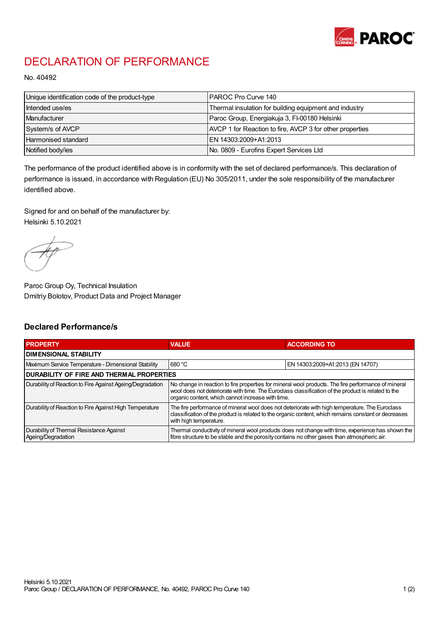

## DECLARATION OF PERFORMANCE

No. 40492

| Unique identification code of the product-type | IPAROC Pro Curve 140                                     |
|------------------------------------------------|----------------------------------------------------------|
| Intended use/es                                | Thermal insulation for building equipment and industry   |
| Manufacturer                                   | Paroc Group, Energiakuja 3, FI-00180 Helsinki            |
| System/s of AVCP                               | AVCP 1 for Reaction to fire, AVCP 3 for other properties |
| Harmonised standard                            | IEN 14303:2009+A1:2013                                   |
| Notified body/ies                              | No. 0809 - Eurofins Expert Services Ltd                  |

The performance of the product identified above is in conformity with the set of declared performance/s. This declaration of performance is issued, in accordance with Regulation (EU) No 305/2011, under the sole responsibility of the manufacturer identified above.

Signed for and on behalf of the manufacturer by: Helsinki 5.10.2021

Paroc Group Oy, Technical Insulation Dmitriy Bolotov, Product Data and Project Manager

## Declared Performance/s

| <b>PROPERTY</b>                                                | <b>VALUE</b>                                                                                                                                                                                                                                                   | <b>ACCORDING TO.</b>             |  |
|----------------------------------------------------------------|----------------------------------------------------------------------------------------------------------------------------------------------------------------------------------------------------------------------------------------------------------------|----------------------------------|--|
| <b>DIMENSIONAL STABILITY</b>                                   |                                                                                                                                                                                                                                                                |                                  |  |
| Maximum Service Temperature - Dimensional Stability            | 680 °C                                                                                                                                                                                                                                                         | EN 14303:2009+A1:2013 (EN 14707) |  |
| <b>DURABILITY OF FIRE AND THERMAL PROPERTIES</b>               |                                                                                                                                                                                                                                                                |                                  |  |
| Durability of Reaction to Fire Against Ageing/Degradation      | No change in reaction to fire properties for mineral wool products. The fire performance of mineral<br>wool does not deteriorate with time. The Euroclass classification of the product is related to the<br>organic content, which cannot increase with time. |                                  |  |
| Durability of Reaction to Fire Against High Temperature        | The fire performance of mineral wool does not deteriorate with high temperature. The Euroclass<br>classification of the product is related to the organic content, which remains constant or decreases<br>with high temperature.                               |                                  |  |
| Durability of Thermal Resistance Against<br>Ageing/Degradation | Thermal conductivity of mineral wool products does not change with time, experience has shown the<br>fibre structure to be stable and the porosity contains no other gases than atmospheric air.                                                               |                                  |  |